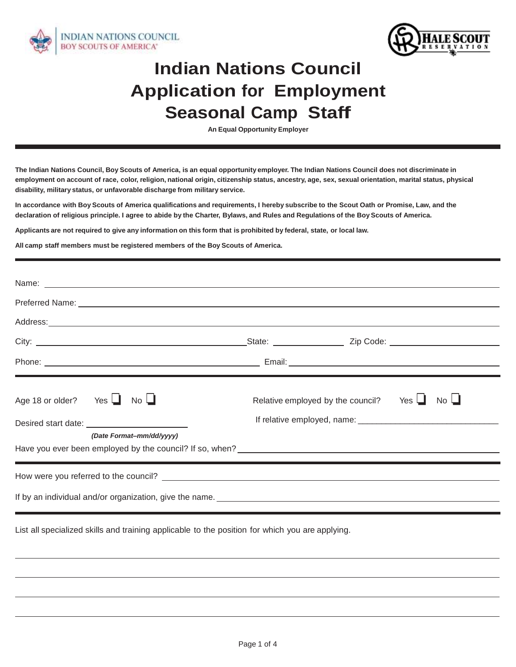



## **Indian Nations Council Application for Employment Seasonal Camp Staff**

**An Equal Opportunity Employer**

**The Indian Nations Council, Boy Scouts of America, is an equal opportunity employer. The Indian Nations Council does not discriminate in employment on account of race, color, religion, national origin, citizenship status, ancestry, age, sex, sexual orientation, marital status, physical disability, military status, or unfavorable discharge from military service.**

**In accordance with Boy Scouts of America qualifications and requirements, I hereby subscribe to the Scout Oath or Promise, Law, and the declaration of religious principle. I agree to abide by the Charter, Bylaws, and Rules and Regulations of the Boy Scouts of America.**

**Applicants are not required to give any information on this form that is prohibited by federal, state, or local law.** 

**All camp staff members must be registered members of the Boy Scouts of America.**

| Age 18 or older? Yes $\Box$<br>$No$ $\Box$<br>Desired start date: National Property of the Second Desired Start date:                                                                                                          | Relative employed by the council? Yes l<br>No <sub>l</sub> |  |
|--------------------------------------------------------------------------------------------------------------------------------------------------------------------------------------------------------------------------------|------------------------------------------------------------|--|
| (Date Format-mm/dd/yyyy)                                                                                                                                                                                                       |                                                            |  |
|                                                                                                                                                                                                                                |                                                            |  |
| If by an individual and/or organization, give the name. Letter and the state of the state of the state of the state of the state of the state of the state of the state of the state of the state of the state of the state of |                                                            |  |

List all specialized skills and training applicable to the position for which you are applying.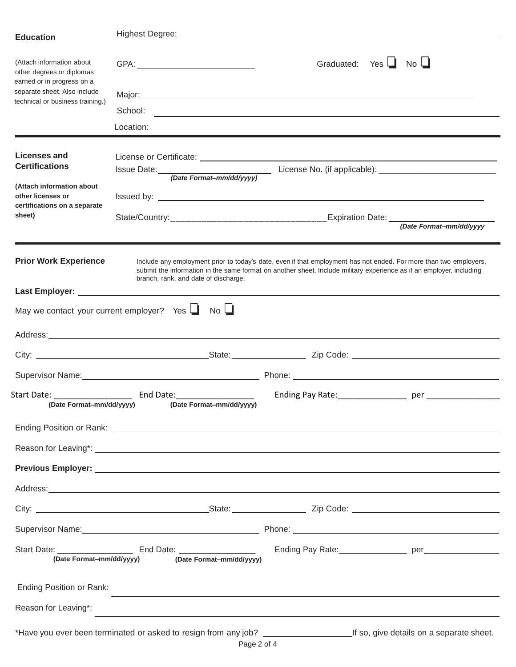| <b>Education</b>                                                                     |                                                                                                                                                                                                                                           |                                          |
|--------------------------------------------------------------------------------------|-------------------------------------------------------------------------------------------------------------------------------------------------------------------------------------------------------------------------------------------|------------------------------------------|
|                                                                                      |                                                                                                                                                                                                                                           |                                          |
| (Attach information about<br>other degrees or diplomas<br>earned or in progress on a |                                                                                                                                                                                                                                           | Graduated: Yes $\Box$ No $\Box$          |
| separate sheet. Also include                                                         |                                                                                                                                                                                                                                           |                                          |
| technical or business training.)                                                     |                                                                                                                                                                                                                                           |                                          |
|                                                                                      | Location:                                                                                                                                                                                                                                 |                                          |
|                                                                                      |                                                                                                                                                                                                                                           |                                          |
| Licenses and                                                                         | License or Certificate: <u>experience</u> and the set of the set of the set of the set of the set of the set of the set of the set of the set of the set of the set of the set of the set of the set of the set of the set of the s       |                                          |
| <b>Certifications</b>                                                                |                                                                                                                                                                                                                                           |                                          |
| (Attach information about                                                            |                                                                                                                                                                                                                                           |                                          |
| other licenses or<br>certifications on a separate                                    |                                                                                                                                                                                                                                           |                                          |
| sheet)                                                                               | State/Country:_____________________________Expiration Date: (Date Format-mm/dd/yyyy                                                                                                                                                       |                                          |
|                                                                                      |                                                                                                                                                                                                                                           |                                          |
|                                                                                      |                                                                                                                                                                                                                                           |                                          |
| <b>Prior Work Experience</b>                                                         | Include any employment prior to today's date, even if that employment has not ended. For more than two employers,<br>submit the information in the same format on another sheet. Include military experience as if an employer, including |                                          |
|                                                                                      | branch, rank, and date of discharge.                                                                                                                                                                                                      |                                          |
|                                                                                      |                                                                                                                                                                                                                                           |                                          |
| May we contact your current employer? Yes $\Box$                                     | $No$ $\Box$                                                                                                                                                                                                                               |                                          |
|                                                                                      |                                                                                                                                                                                                                                           |                                          |
|                                                                                      |                                                                                                                                                                                                                                           |                                          |
|                                                                                      |                                                                                                                                                                                                                                           |                                          |
|                                                                                      | Supervisor Name: <u>Contract Communication</u> Phone: Communication Phone: Communication Phone: Communication Phone: Communication Phone: Communication Phone: Communication Phone: Communication Phone: Communication Phone: Commu       |                                          |
|                                                                                      | Start Date: ______________________________ End Date:____________________________                                                                                                                                                          |                                          |
|                                                                                      | (Date Format-mm/dd/yyyy) (Date Format-mm/dd/yyyy)                                                                                                                                                                                         |                                          |
|                                                                                      |                                                                                                                                                                                                                                           |                                          |
|                                                                                      |                                                                                                                                                                                                                                           |                                          |
|                                                                                      |                                                                                                                                                                                                                                           |                                          |
|                                                                                      |                                                                                                                                                                                                                                           |                                          |
|                                                                                      | Address: <u>Communication of the communication</u> of the communication of the communication of the communication of the communication of the communication of the communication of the communication of the communication of the c       |                                          |
|                                                                                      |                                                                                                                                                                                                                                           |                                          |
|                                                                                      | Supervisor Name: 1990 Manner Contract Contract Contract Phone: 2008 Manner Contract Contract Contract Contract Contract Contract Contract Contract Contract Contract Contract Contract Contract Contract Contract Contract Con            |                                          |
|                                                                                      | (Date Format-mm/dd/yyyy) (Date Format-mm/dd/yyyy)                                                                                                                                                                                         |                                          |
| Ending Position or Rank:                                                             | and the control of the control of the control of the control of the control of the control of the control of the                                                                                                                          |                                          |
| Reason for Leaving*:                                                                 | ,我们也不会有什么。""我们的人,我们也不会有什么?""我们的人,我们也不会有什么?""我们的人,我们的人,我们的人,我们的人,我们的人,我们的人,我们的人,我                                                                                                                                                          |                                          |
|                                                                                      | *Have you ever been terminated or asked to resign from any job? ________________                                                                                                                                                          | If so, give details on a separate sheet. |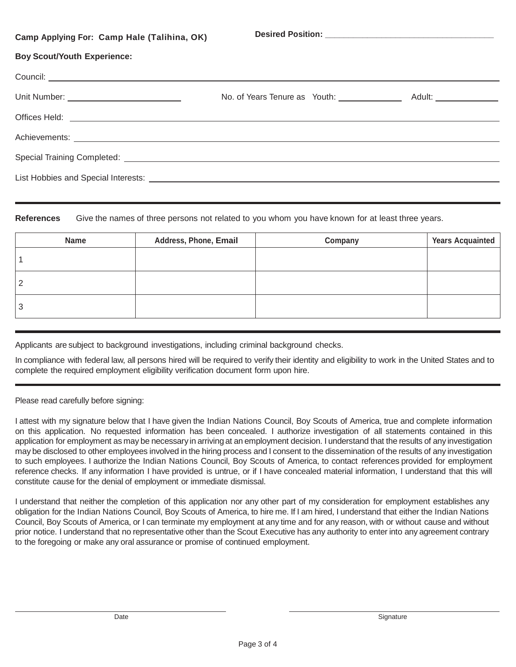| Camp Applying For: Camp Hale (Talihina, OK) |  |
|---------------------------------------------|--|
| <b>Boy Scout/Youth Experience:</b>          |  |
|                                             |  |
|                                             |  |
|                                             |  |
|                                             |  |
|                                             |  |
|                                             |  |

**References** Give the names of three persons not related to you whom you have known for at least three years.

| <b>Name</b> | Address, Phone, Email | Company | <b>Years Acquainted</b> |
|-------------|-----------------------|---------|-------------------------|
|             |                       |         |                         |
|             |                       |         |                         |
| J           |                       |         |                         |

Applicants are subject to background investigations, including criminal background checks.

In compliance with federal law, all persons hired will be required to verify their identity and eligibility to work in the United States and to complete the required employment eligibility verification document form upon hire.

Please read carefully before signing:

I attest with my signature below that I have given the Indian Nations Council, Boy Scouts of America, true and complete information on this application. No requested information has been concealed. I authorize investigation of all statements contained in this application for employment as may be necessary in arriving at an employment decision. I understand that the results of any investigation may be disclosed to other employees involved in the hiring process and I consent to the dissemination of the results of any investigation to such employees. I authorize the Indian Nations Council, Boy Scouts of America, to contact references provided for employment reference checks. If any information I have provided is untrue, or if I have concealed material information, I understand that this will constitute cause for the denial of employment or immediate dismissal.

I understand that neither the completion of this application nor any other part of my consideration for employment establishes any obligation for the Indian Nations Council, Boy Scouts of America, to hire me. If I am hired, I understand that either the Indian Nations Council, Boy Scouts of America, or I can terminate my employment at any time and for any reason, with or without cause and without prior notice. I understand that no representative other than the Scout Executive has any authority to enter into any agreement contrary to the foregoing or make any oral assurance or promise of continued employment.